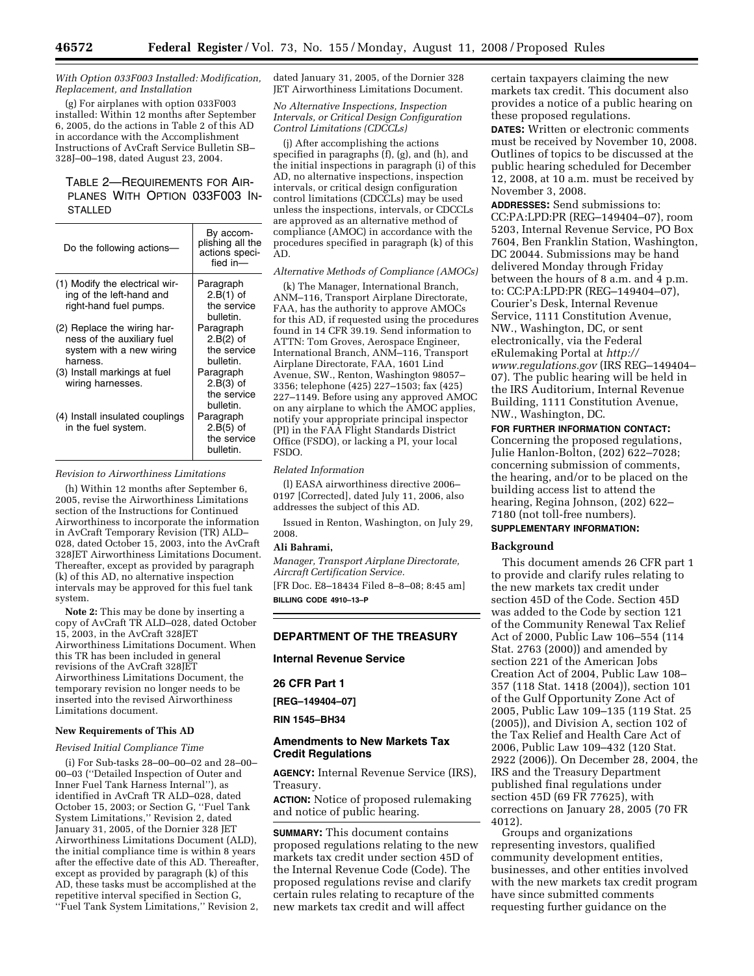### *With Option 033F003 Installed: Modification, Replacement, and Installation*

(g) For airplanes with option 033F003 installed: Within 12 months after September 6, 2005, do the actions in Table 2 of this AD in accordance with the Accomplishment Instructions of AvCraft Service Bulletin SB– 328J–00–198, dated August 23, 2004.

# TABLE 2—REQUIREMENTS FOR AIR-PLANES WITH OPTION 033F003 IN-STALLED

| Do the following actions-                                                                         | By accom-<br>plishing all the<br>actions speci-<br>fied in- |
|---------------------------------------------------------------------------------------------------|-------------------------------------------------------------|
| (1) Modify the electrical wir-<br>ing of the left-hand and<br>right-hand fuel pumps.              | Paragraph<br>$2.B(1)$ of<br>the service<br>bulletin.        |
| (2) Replace the wiring har-<br>ness of the auxiliary fuel<br>system with a new wiring<br>harness. | Paragraph<br>$2.B(2)$ of<br>the service<br>bulletin.        |
| (3) Install markings at fuel<br>wiring harnesses.                                                 | Paragraph<br>$2.B(3)$ of<br>the service<br>bulletin.        |
| (4) Install insulated couplings<br>in the fuel system.                                            | Paragraph<br>$2.B(5)$ of<br>the service<br>bulletin.        |

## *Revision to Airworthiness Limitations*

(h) Within 12 months after September 6, 2005, revise the Airworthiness Limitations section of the Instructions for Continued Airworthiness to incorporate the information in AvCraft Temporary Revision (TR) ALD– 028, dated October 15, 2003, into the AvCraft 328JET Airworthiness Limitations Document. Thereafter, except as provided by paragraph (k) of this AD, no alternative inspection intervals may be approved for this fuel tank system.

**Note 2:** This may be done by inserting a copy of AvCraft TR ALD–028, dated October 15, 2003, in the AvCraft 328JET Airworthiness Limitations Document. When this TR has been included in general revisions of the AvCraft 328JET Airworthiness Limitations Document, the temporary revision no longer needs to be inserted into the revised Airworthiness Limitations document.

## **New Requirements of This AD**

### *Revised Initial Compliance Time*

(i) For Sub-tasks 28–00–00–02 and 28–00– 00–03 (''Detailed Inspection of Outer and Inner Fuel Tank Harness Internal''), as identified in AvCraft TR ALD–028, dated October 15, 2003; or Section G, ''Fuel Tank System Limitations,'' Revision 2, dated January 31, 2005, of the Dornier 328 JET Airworthiness Limitations Document (ALD), the initial compliance time is within 8 years after the effective date of this AD. Thereafter, except as provided by paragraph (k) of this AD, these tasks must be accomplished at the repetitive interval specified in Section G, ''Fuel Tank System Limitations,'' Revision 2, dated January 31, 2005, of the Dornier 328 JET Airworthiness Limitations Document.

### *No Alternative Inspections, Inspection Intervals, or Critical Design Configuration Control Limitations (CDCCLs)*

(j) After accomplishing the actions specified in paragraphs (f), (g), and (h), and the initial inspections in paragraph (i) of this AD, no alternative inspections, inspection intervals, or critical design configuration control limitations (CDCCLs) may be used unless the inspections, intervals, or CDCCLs are approved as an alternative method of compliance (AMOC) in accordance with the procedures specified in paragraph (k) of this AD.

# *Alternative Methods of Compliance (AMOCs)*

(k) The Manager, International Branch, ANM–116, Transport Airplane Directorate, FAA, has the authority to approve AMOCs for this AD, if requested using the procedures found in 14 CFR 39.19. Send information to ATTN: Tom Groves, Aerospace Engineer, International Branch, ANM–116, Transport Airplane Directorate, FAA, 1601 Lind Avenue, SW., Renton, Washington 98057– 3356; telephone (425) 227–1503; fax (425) 227–1149. Before using any approved AMOC on any airplane to which the AMOC applies, notify your appropriate principal inspector (PI) in the FAA Flight Standards District Office (FSDO), or lacking a PI, your local FSDO.

#### *Related Information*

(l) EASA airworthiness directive 2006– 0197 [Corrected], dated July 11, 2006, also addresses the subject of this AD.

Issued in Renton, Washington, on July 29, 2008.

### **Ali Bahrami,**

*Manager, Transport Airplane Directorate, Aircraft Certification Service.*  [FR Doc. E8–18434 Filed 8–8–08; 8:45 am] **BILLING CODE 4910–13–P** 

# **DEPARTMENT OF THE TREASURY**

### **Internal Revenue Service**

### **26 CFR Part 1**

**[REG–149404–07]** 

**RIN 1545–BH34** 

### **Amendments to New Markets Tax Credit Regulations**

**AGENCY:** Internal Revenue Service (IRS), Treasury.

**ACTION:** Notice of proposed rulemaking and notice of public hearing.

**SUMMARY:** This document contains proposed regulations relating to the new markets tax credit under section 45D of the Internal Revenue Code (Code). The proposed regulations revise and clarify certain rules relating to recapture of the new markets tax credit and will affect

certain taxpayers claiming the new markets tax credit. This document also provides a notice of a public hearing on these proposed regulations.

**DATES:** Written or electronic comments must be received by November 10, 2008. Outlines of topics to be discussed at the public hearing scheduled for December 12, 2008, at 10 a.m. must be received by November 3, 2008.

**ADDRESSES:** Send submissions to: CC:PA:LPD:PR (REG–149404–07), room 5203, Internal Revenue Service, PO Box 7604, Ben Franklin Station, Washington, DC 20044. Submissions may be hand delivered Monday through Friday between the hours of 8 a.m. and 4 p.m. to: CC:PA:LPD:PR (REG–149404–07), Courier's Desk, Internal Revenue Service, 1111 Constitution Avenue, NW., Washington, DC, or sent electronically, via the Federal [eRulemaking Portal at](http://www.regulations.gov) *http:// www.regulations.gov* (IRS REG–149404– 07). The public hearing will be held in the IRS Auditorium, Internal Revenue Building, 1111 Constitution Avenue, NW., Washington, DC.

**FOR FURTHER INFORMATION CONTACT:** 

Concerning the proposed regulations, Julie Hanlon-Bolton, (202) 622–7028; concerning submission of comments, the hearing, and/or to be placed on the building access list to attend the hearing, Regina Johnson, (202) 622– 7180 (not toll-free numbers).

# **SUPPLEMENTARY INFORMATION:**

## **Background**

This document amends 26 CFR part 1 to provide and clarify rules relating to the new markets tax credit under section 45D of the Code. Section 45D was added to the Code by section 121 of the Community Renewal Tax Relief Act of 2000, Public Law 106–554 (114 Stat. 2763 (2000)) and amended by section 221 of the American Jobs Creation Act of 2004, Public Law 108– 357 (118 Stat. 1418 (2004)), section 101 of the Gulf Opportunity Zone Act of 2005, Public Law 109–135 (119 Stat. 25 (2005)), and Division A, section 102 of the Tax Relief and Health Care Act of 2006, Public Law 109–432 (120 Stat. 2922 (2006)). On December 28, 2004, the IRS and the Treasury Department published final regulations under section 45D (69 FR 77625), with corrections on January 28, 2005 (70 FR 4012).

Groups and organizations representing investors, qualified community development entities, businesses, and other entities involved with the new markets tax credit program have since submitted comments requesting further guidance on the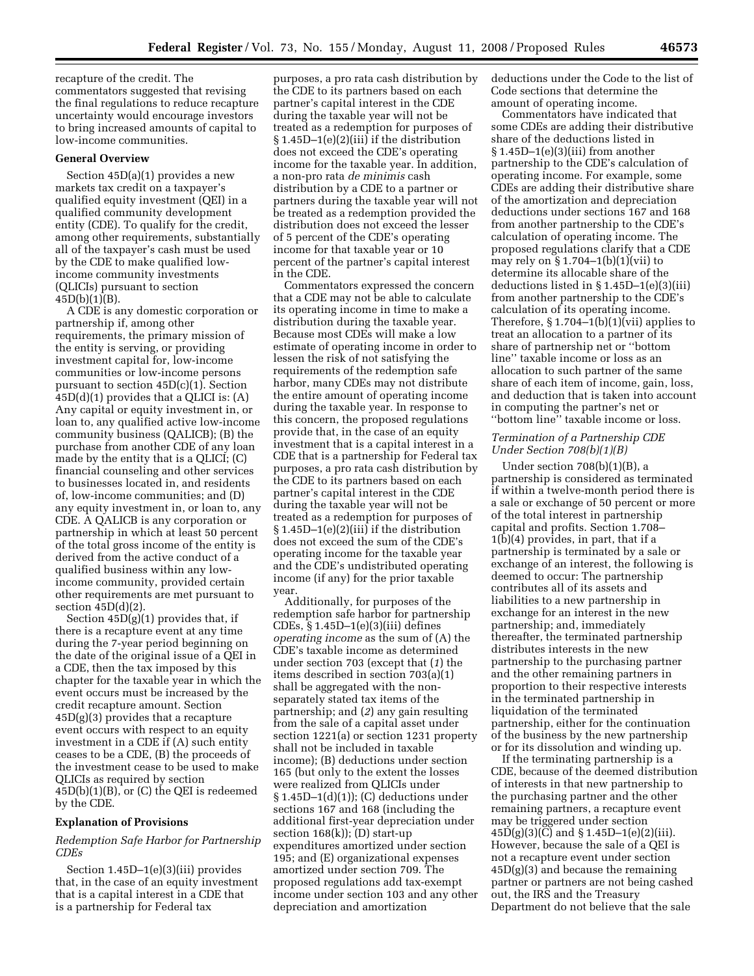recapture of the credit. The commentators suggested that revising the final regulations to reduce recapture uncertainty would encourage investors to bring increased amounts of capital to low-income communities.

# **General Overview**

Section 45D(a)(1) provides a new markets tax credit on a taxpayer's qualified equity investment (QEI) in a qualified community development entity (CDE). To qualify for the credit, among other requirements, substantially all of the taxpayer's cash must be used by the CDE to make qualified lowincome community investments (QLICIs) pursuant to section  $45D(b)(1)(B)$ .

A CDE is any domestic corporation or partnership if, among other requirements, the primary mission of the entity is serving, or providing investment capital for, low-income communities or low-income persons pursuant to section 45D(c)(1). Section  $45D(d)(1)$  provides that a QLICI is:  $(A)$ Any capital or equity investment in, or loan to, any qualified active low-income community business (QALICB); (B) the purchase from another CDE of any loan made by the entity that is a QLICI; (C) financial counseling and other services to businesses located in, and residents of, low-income communities; and (D) any equity investment in, or loan to, any CDE. A QALICB is any corporation or partnership in which at least 50 percent of the total gross income of the entity is derived from the active conduct of a qualified business within any lowincome community, provided certain other requirements are met pursuant to section  $45D(d)(2)$ .

Section 45D(g)(1) provides that, if there is a recapture event at any time during the 7-year period beginning on the date of the original issue of a QEI in a CDE, then the tax imposed by this chapter for the taxable year in which the event occurs must be increased by the credit recapture amount. Section  $45D(g)(3)$  provides that a recapture event occurs with respect to an equity investment in a CDE if (A) such entity ceases to be a CDE, (B) the proceeds of the investment cease to be used to make QLICIs as required by section 45D(b)(1)(B), or (C) the QEI is redeemed by the CDE.

## **Explanation of Provisions**

# *Redemption Safe Harbor for Partnership CDEs*

Section 1.45D–1(e)(3)(iii) provides that, in the case of an equity investment that is a capital interest in a CDE that is a partnership for Federal tax

purposes, a pro rata cash distribution by the CDE to its partners based on each partner's capital interest in the CDE during the taxable year will not be treated as a redemption for purposes of § 1.45D–1(e)(2)(iii) if the distribution does not exceed the CDE's operating income for the taxable year. In addition, a non-pro rata *de minimis* cash distribution by a CDE to a partner or partners during the taxable year will not be treated as a redemption provided the distribution does not exceed the lesser of 5 percent of the CDE's operating income for that taxable year or 10 percent of the partner's capital interest in the CDE.

Commentators expressed the concern that a CDE may not be able to calculate its operating income in time to make a distribution during the taxable year. Because most CDEs will make a low estimate of operating income in order to lessen the risk of not satisfying the requirements of the redemption safe harbor, many CDEs may not distribute the entire amount of operating income during the taxable year. In response to this concern, the proposed regulations provide that, in the case of an equity investment that is a capital interest in a CDE that is a partnership for Federal tax purposes, a pro rata cash distribution by the CDE to its partners based on each partner's capital interest in the CDE during the taxable year will not be treated as a redemption for purposes of § 1.45D–1(e)(2)(iii) if the distribution does not exceed the sum of the CDE's operating income for the taxable year and the CDE's undistributed operating income (if any) for the prior taxable year.

Additionally, for purposes of the redemption safe harbor for partnership CDEs, § 1.45D–1(e)(3)(iii) defines *operating income* as the sum of (A) the CDE's taxable income as determined under section 703 (except that (*1*) the items described in section 703(a)(1) shall be aggregated with the nonseparately stated tax items of the partnership; and (*2*) any gain resulting from the sale of a capital asset under section 1221(a) or section 1231 property shall not be included in taxable income); (B) deductions under section 165 (but only to the extent the losses were realized from QLICIs under § 1.45D–1(d)(1)); (C) deductions under sections 167 and 168 (including the additional first-year depreciation under section 168(k)); (D) start-up expenditures amortized under section 195; and (E) organizational expenses amortized under section 709. The proposed regulations add tax-exempt income under section 103 and any other depreciation and amortization

deductions under the Code to the list of Code sections that determine the amount of operating income.

Commentators have indicated that some CDEs are adding their distributive share of the deductions listed in § 1.45D–1(e)(3)(iii) from another partnership to the CDE's calculation of operating income. For example, some CDEs are adding their distributive share of the amortization and depreciation deductions under sections 167 and 168 from another partnership to the CDE's calculation of operating income. The proposed regulations clarify that a CDE may rely on  $\S 1.704-1(b)(1)(vii)$  to determine its allocable share of the deductions listed in § 1.45D–1(e)(3)(iii) from another partnership to the CDE's calculation of its operating income. Therefore,  $$1.704-1(b)(1)(vii)$  applies to treat an allocation to a partner of its share of partnership net or ''bottom line'' taxable income or loss as an allocation to such partner of the same share of each item of income, gain, loss, and deduction that is taken into account in computing the partner's net or ''bottom line'' taxable income or loss.

# *Termination of a Partnership CDE Under Section 708(b)(1)(B)*

Under section 708(b)(1)(B), a partnership is considered as terminated if within a twelve-month period there is a sale or exchange of 50 percent or more of the total interest in partnership capital and profits. Section 1.708– 1(b)(4) provides, in part, that if a partnership is terminated by a sale or exchange of an interest, the following is deemed to occur: The partnership contributes all of its assets and liabilities to a new partnership in exchange for an interest in the new partnership; and, immediately thereafter, the terminated partnership distributes interests in the new partnership to the purchasing partner and the other remaining partners in proportion to their respective interests in the terminated partnership in liquidation of the terminated partnership, either for the continuation of the business by the new partnership or for its dissolution and winding up.

If the terminating partnership is a CDE, because of the deemed distribution of interests in that new partnership to the purchasing partner and the other remaining partners, a recapture event may be triggered under section  $45D(g)(3)(C)$  and § 1.45D-1(e)(2)(iii). However, because the sale of a QEI is not a recapture event under section  $45D(g)(3)$  and because the remaining partner or partners are not being cashed out, the IRS and the Treasury Department do not believe that the sale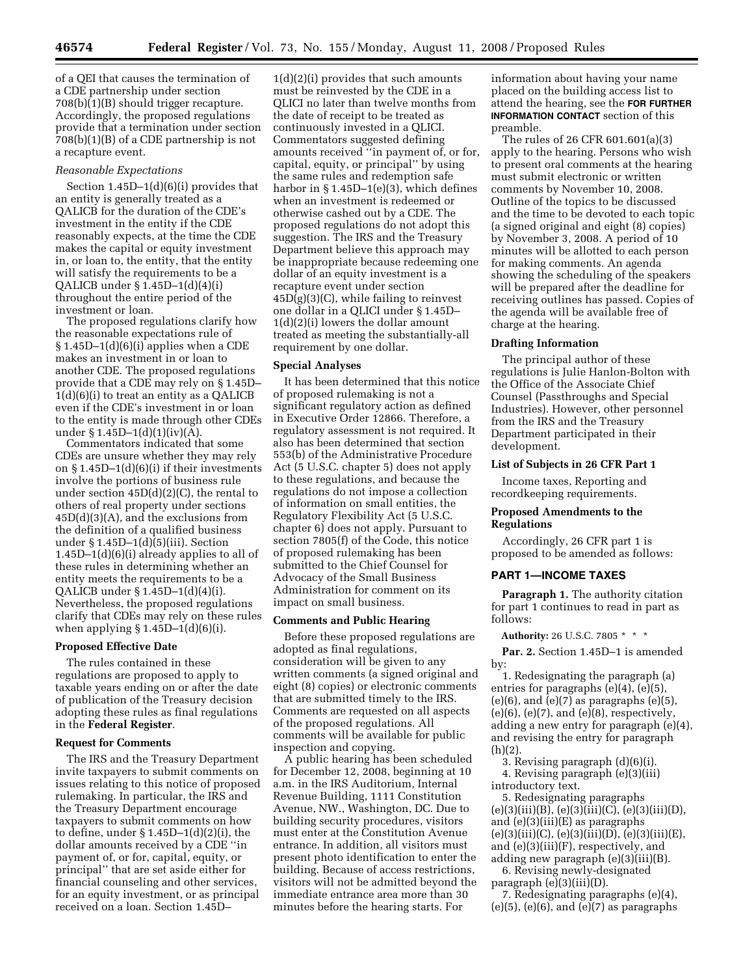of a QEI that causes the termination of a CDE partnership under section 708(b)(1)(B) should trigger recapture. Accordingly, the proposed regulations provide that a termination under section 708(b)(1)(B) of a CDE partnership is not a recapture event.

#### *Reasonable Expectations*

Section 1.45D–1(d)(6)(i) provides that an entity is generally treated as a QALICB for the duration of the CDE's investment in the entity if the CDE reasonably expects, at the time the CDE makes the capital or equity investment in, or loan to, the entity, that the entity will satisfy the requirements to be a QALICB under § 1.45D–1(d)(4)(i) throughout the entire period of the investment or loan.

The proposed regulations clarify how the reasonable expectations rule of  $§ 1.45D-1(d)(6)(i)$  applies when a CDE makes an investment in or loan to another CDE. The proposed regulations provide that a CDE may rely on § 1.45D– 1(d)(6)(i) to treat an entity as a QALICB even if the CDE's investment in or loan to the entity is made through other CDEs under § 1.45D–1(d)(1)(iv)( $\bar{A}$ ).

Commentators indicated that some CDEs are unsure whether they may rely on § 1.45D–1(d)(6)(i) if their investments involve the portions of business rule under section 45D(d)(2)(C), the rental to others of real property under sections  $45D(d)(3)(A)$ , and the exclusions from the definition of a qualified business under § 1.45D–1(d)(5)(iii). Section 1.45D–1(d)(6)(i) already applies to all of these rules in determining whether an entity meets the requirements to be a QALICB under § 1.45D–1(d)(4)(i). Nevertheless, the proposed regulations clarify that CDEs may rely on these rules when applying § 1.45D–1(d)(6)(i).

### **Proposed Effective Date**

The rules contained in these regulations are proposed to apply to taxable years ending on or after the date of publication of the Treasury decision adopting these rules as final regulations in the **Federal Register**.

## **Request for Comments**

The IRS and the Treasury Department invite taxpayers to submit comments on issues relating to this notice of proposed rulemaking. In particular, the IRS and the Treasury Department encourage taxpayers to submit comments on how to define, under § 1.45D–1(d)(2)(i), the dollar amounts received by a CDE ''in payment of, or for, capital, equity, or principal'' that are set aside either for financial counseling and other services, for an equity investment, or as principal received on a loan. Section 1.45D–

1(d)(2)(i) provides that such amounts must be reinvested by the CDE in a QLICI no later than twelve months from the date of receipt to be treated as continuously invested in a QLICI. Commentators suggested defining amounts received ''in payment of, or for, capital, equity, or principal'' by using the same rules and redemption safe harbor in  $\S 1.45D-1(e)(3)$ , which defines when an investment is redeemed or otherwise cashed out by a CDE. The proposed regulations do not adopt this suggestion. The IRS and the Treasury Department believe this approach may be inappropriate because redeeming one dollar of an equity investment is a recapture event under section  $45D(g)(3)(C)$ , while failing to reinvest one dollar in a QLICI under § 1.45D– 1(d)(2)(i) lowers the dollar amount treated as meeting the substantially-all requirement by one dollar.

#### **Special Analyses**

It has been determined that this notice of proposed rulemaking is not a significant regulatory action as defined in Executive Order 12866. Therefore, a regulatory assessment is not required. It also has been determined that section 553(b) of the Administrative Procedure Act (5 U.S.C. chapter 5) does not apply to these regulations, and because the regulations do not impose a collection of information on small entities, the Regulatory Flexibility Act (5 U.S.C. chapter 6) does not apply. Pursuant to section 7805(f) of the Code, this notice of proposed rulemaking has been submitted to the Chief Counsel for Advocacy of the Small Business Administration for comment on its impact on small business.

#### **Comments and Public Hearing**

Before these proposed regulations are adopted as final regulations, consideration will be given to any written comments (a signed original and eight (8) copies) or electronic comments that are submitted timely to the IRS. Comments are requested on all aspects of the proposed regulations. All comments will be available for public inspection and copying.

A public hearing has been scheduled for December 12, 2008, beginning at 10 a.m. in the IRS Auditorium, Internal Revenue Building, 1111 Constitution Avenue, NW., Washington, DC. Due to building security procedures, visitors must enter at the Constitution Avenue entrance. In addition, all visitors must present photo identification to enter the building. Because of access restrictions, visitors will not be admitted beyond the immediate entrance area more than 30 minutes before the hearing starts. For

information about having your name placed on the building access list to attend the hearing, see the **FOR FURTHER INFORMATION CONTACT** section of this preamble.

The rules of 26 CFR 601.601(a)(3) apply to the hearing. Persons who wish to present oral comments at the hearing must submit electronic or written comments by November 10, 2008. Outline of the topics to be discussed and the time to be devoted to each topic (a signed original and eight (8) copies) by November 3, 2008. A period of 10 minutes will be allotted to each person for making comments. An agenda showing the scheduling of the speakers will be prepared after the deadline for receiving outlines has passed. Copies of the agenda will be available free of charge at the hearing.

### **Drafting Information**

The principal author of these regulations is Julie Hanlon-Bolton with the Office of the Associate Chief Counsel (Passthroughs and Special Industries). However, other personnel from the IRS and the Treasury Department participated in their development.

## **List of Subjects in 26 CFR Part 1**

Income taxes, Reporting and recordkeeping requirements.

## **Proposed Amendments to the Regulations**

Accordingly, 26 CFR part 1 is proposed to be amended as follows:

# **PART 1—INCOME TAXES**

**Paragraph 1.** The authority citation for part 1 continues to read in part as follows:

**Authority:** 26 U.S.C. 7805 \* \* \*

Par. 2. Section 1.45D-1 is amended by:

1. Redesignating the paragraph (a) entries for paragraphs (e)(4), (e)(5),  $(e)(6)$ , and  $(e)(7)$  as paragraphs  $(e)(5)$ ,  $(e)(6)$ ,  $(e)(7)$ , and  $(e)(8)$ , respectively, adding a new entry for paragraph (e)(4), and revising the entry for paragraph  $(h)(2)$ .

3. Revising paragraph (d)(6)(i). 4. Revising paragraph (e)(3)(iii) introductory text.

5. Redesignating paragraphs  $(e)(3)(iii)(B), (e)(3)(iii)(C), (e)(3)(iii)(D),$ and (e)(3)(iii)(E) as paragraphs  $(e)(3)(iii)(C), (e)(3)(iii)(D), (e)(3)(iii)(E),$ and (e)(3)(iii)(F), respectively, and adding new paragraph (e)(3)(iii)(B).

6. Revising newly-designated paragraph (e)(3)(iii)(D).

7. Redesignating paragraphs (e)(4),  $(e)(5)$ ,  $(e)(6)$ , and  $(e)(7)$  as paragraphs